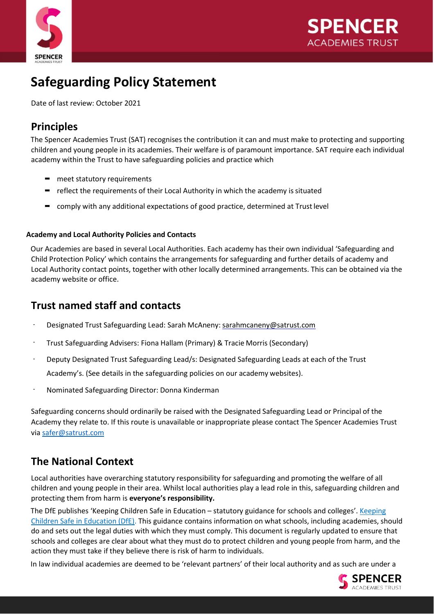



# **Safeguarding Policy Statement**

Date of last review: October 2021

# **Principles**

The Spencer Academies Trust (SAT) recognises the contribution it can and must make to protecting and supporting children and young people in its academies. Their welfare is of paramount importance. SAT require each individual academy within the Trust to have safeguarding policies and practice which

- meet statutory requirements
- **=** reflect the requirements of their Local Authority in which the academy is situated
- $\blacksquare$  comply with any additional expectations of good practice, determined at Trust level

#### **Academy and Local Authority Policies and Contacts**

Our Academies are based in several Local Authorities. Each academy has their own individual 'Safeguarding and Child Protection Policy' which contains the arrangements for safeguarding and further details of academy and Local Authority contact points, together with other locally determined arrangements. This can be obtained via the academy website or office.

## **Trust named staff and contacts**

- Designated Trust Safeguarding Lead: Sarah McAneny: [sarahmcaneny@satrust.com](mailto:sarahmcaneny@satrust.com)
- Trust Safeguarding Advisers: Fiona Hallam (Primary) & Tracie Morris (Secondary)
- Deputy Designated Trust Safeguarding Lead/s: Designated Safeguarding Leads at each of the Trust Academy's. (See details in the safeguarding policies on our academy websites).
- Nominated Safeguarding Director: Donna Kinderman

Safeguarding concerns should ordinarily be raised with the Designated Safeguarding Lead or Principal of the Academy they relate to. If this route is unavailable or inappropriate please contact The Spencer Academies Trust via [safer@satrust.com](mailto:safer@satrust.com)

### **The National Context**

Local authorities have overarching statutory responsibility for safeguarding and promoting the welfare of all children and young people in their area. Whilst local authorities play a lead role in this, safeguarding children and protecting them from harm is **everyone's responsibility.**

The DfE publishes 'Keeping Children Safe in Education – statutory guidance for schools and colleges'. [Keeping](https://www.gov.uk/government/publications/keeping-children-safe-in-education--2) [Children Safe in Education \(DfE\). T](https://www.gov.uk/government/publications/keeping-children-safe-in-education--2)his guidance contains information on what schools, including academies, should do and sets out the legal duties with which they must comply. This document is regularly updated to ensure that schools and colleges are clear about what they must do to protect children and young people from harm, and the action they must take if they believe there is risk of harm to individuals.

In law individual academies are deemed to be 'relevant partners' of their local authority and as such are under a